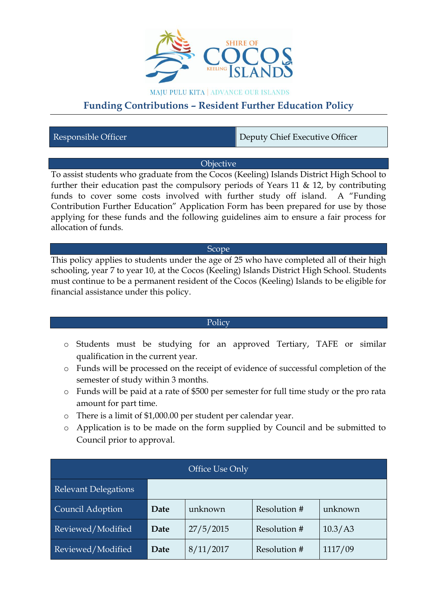

**MAJU PULU KITA | ADVANCE OUR ISLANDS** 

# **Funding Contributions – Resident Further Education Policy**

Responsible Officer **Deputy Chief Executive Officer** 

## **Objective**

To assist students who graduate from the Cocos (Keeling) Islands District High School to further their education past the compulsory periods of Years 11  $\&$  12, by contributing funds to cover some costs involved with further study off island. A "Funding Contribution Further Education" Application Form has been prepared for use by those applying for these funds and the following guidelines aim to ensure a fair process for allocation of funds.

#### Scope

This policy applies to students under the age of 25 who have completed all of their high schooling, year 7 to year 10, at the Cocos (Keeling) Islands District High School. Students must continue to be a permanent resident of the Cocos (Keeling) Islands to be eligible for financial assistance under this policy.

## **Policy**

- o Students must be studying for an approved Tertiary, TAFE or similar qualification in the current year.
- o Funds will be processed on the receipt of evidence of successful completion of the semester of study within 3 months.
- o Funds will be paid at a rate of \$500 per semester for full time study or the pro rata amount for part time.
- o There is a limit of \$1,000.00 per student per calendar year.
- o Application is to be made on the form supplied by Council and be submitted to Council prior to approval.

| Office Use Only             |      |           |              |         |
|-----------------------------|------|-----------|--------------|---------|
| <b>Relevant Delegations</b> |      |           |              |         |
| Council Adoption            | Date | unknown   | Resolution # | unknown |
| Reviewed/Modified           | Date | 27/5/2015 | Resolution # | 10.3/A3 |
| Reviewed/Modified           | Date | 8/11/2017 | Resolution # | 1117/09 |